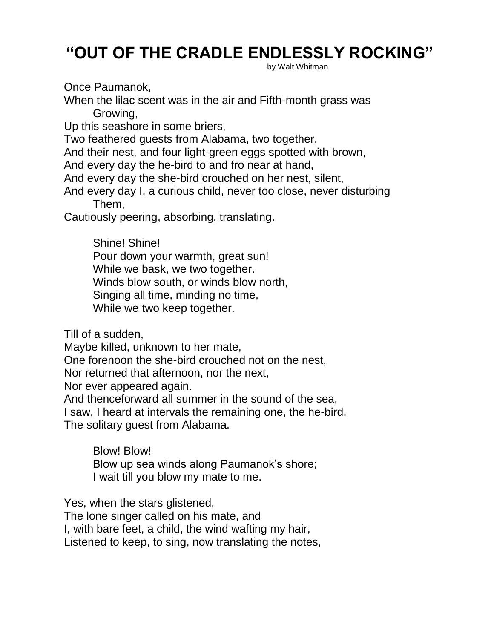## **"OUT OF THE CRADLE ENDLESSLY ROCKING"**

by Walt Whitman

Once Paumanok,

When the lilac scent was in the air and Fifth-month grass was Growing,

Up this seashore in some briers,

Two feathered guests from Alabama, two together,

And their nest, and four light-green eggs spotted with brown,

And every day the he-bird to and fro near at hand,

And every day the she-bird crouched on her nest, silent,

And every day I, a curious child, never too close, never disturbing Them,

Cautiously peering, absorbing, translating.

Shine! Shine! Pour down your warmth, great sun! While we bask, we two together. Winds blow south, or winds blow north, Singing all time, minding no time, While we two keep together.

Till of a sudden,

Maybe killed, unknown to her mate,

One forenoon the she-bird crouched not on the nest,

Nor returned that afternoon, nor the next,

Nor ever appeared again.

And thenceforward all summer in the sound of the sea,

I saw, I heard at intervals the remaining one, the he-bird, The solitary guest from Alabama.

Blow! Blow! Blow up sea winds along Paumanok's shore; I wait till you blow my mate to me.

Yes, when the stars glistened, The lone singer called on his mate, and I, with bare feet, a child, the wind wafting my hair, Listened to keep, to sing, now translating the notes,